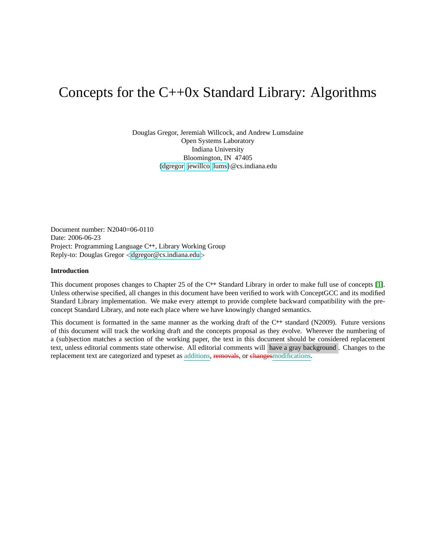# Concepts for the C++0x Standard Library: Algorithms

Douglas Gregor, Jeremiah Willcock, and Andrew Lumsdaine Open Systems Laboratory Indiana University Bloomington, IN 47405 [{dgregor,](mailto:dgregor@cs.indiana.edu) [jewillco,](mailto:jewillco@cs.indiana.edu) [lums}](mailto:lums@cs.indiana.edu)@cs.indiana.edu

Document number: N2040=06-0110 Date: 2006-06-23 Project: Programming Language C**++**, Library Working Group Reply-to: Douglas Gregor <[dgregor@cs.indiana.edu](mailto:dgregor@cs.indiana.edu)>

# **Introduction**

This document proposes changes to Chapter 25 of the C**++** Standard Library in order to make full use of concepts [\[1\]](#page-29-0). Unless otherwise specified, all changes in this document have been verified to work with ConceptGCC and its modified Standard Library implementation. We make every attempt to provide complete backward compatibility with the preconcept Standard Library, and note each place where we have knowingly changed semantics.

This document is formatted in the same manner as the working draft of the C**++** standard (N2009). Future versions of this document will track the working draft and the concepts proposal as they evolve. Wherever the numbering of a (sub)section matches a section of the working paper, the text in this document should be considered replacement text, unless editorial comments state otherwise. All editorial comments will have a gray background . Changes to the replacement text are categorized and typeset as additions, removals, or changesmodifications.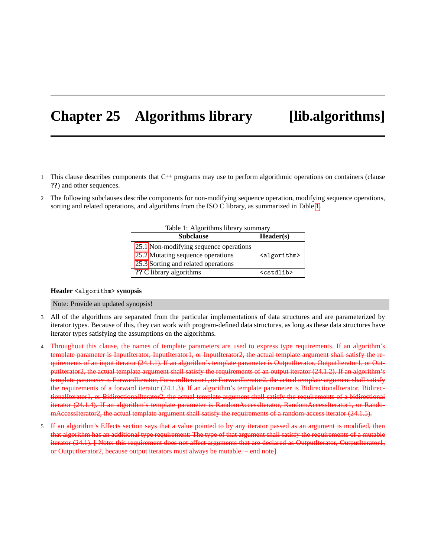# **Chapter 25 Algorithms library [lib.algorithms]**

- 1 This clause describes components that C**++** programs may use to perform algorithmic operations on containers (clause **??**) and other sequences.
- 2 The following subclauses describe components for non-modifying sequence operation, modifying sequence operations, sorting and related operations, and algorithms from the ISO C library, as summarized in Table [1.](#page-1-0)

| <b>Subclause</b>                       | Header(s)               |
|----------------------------------------|-------------------------|
| 25.1 Non-modifying sequence operations |                         |
| 25.2 Mutating sequence operations      | <algorithm></algorithm> |
| 25.3 Sorting and related operations    |                         |
| ?? C library algorithms                | <cstdlib></cstdlib>     |

<span id="page-1-0"></span>

| Table 1: Algorithms library summary |  |
|-------------------------------------|--|
|                                     |  |

# **Header** <algorithm> **synopsis**

# Note: Provide an updated synopsis!

- 3 All of the algorithms are separated from the particular implementations of data structures and are parameterized by iterator types. Because of this, they can work with program-defined data structures, as long as these data structures have iterator types satisfying the assumptions on the algorithms.
- 4 Throughout this clause, the names of template parameters are used to express type requirements. If an algorithm's template parameter is InputIterator, InputIterator1, or InputIterator2, the actual template argument shall satisfy the requirements of an input iterator (24.1.1). If an algorithm's template parameter is OutputIterator, OutputIterator1, or OutputIterator2, the actual template argument shall satisfy the requirements of an output iterator (24.1.2). If an algorithm's template parameter is ForwardIterator, ForwardIterator1, or ForwardIterator2, the actual template argument shall satisfy the requirements of a forward iterator (24.1.3). If an algorithm's template parameter is BidirectionalIterator, BidirectionalIterator1, or BidirectionalIterator2, the actual template argument shall satisfy the requirements of a bidirectional iterator (24.1.4). If an algorithm's template parameter is RandomAccessIterator, RandomAccessIterator1, or RandomAccessIterator2, the actual template argument shall satisfy the requirements of a random-access iterator (24.1.5).
- 5 If an algorithm's Effects section says that a value pointed to by any iterator passed as an argument is modified, then that algorithm has an additional type requirement: The type of that argument shall satisfy the requirements of a mutable iterator (24.1). [ Note: this requirement does not affect arguments that are declared as OutputIterator, OutputIterator1, or OutputIterator2, because output iterators must always be mutable. – end note]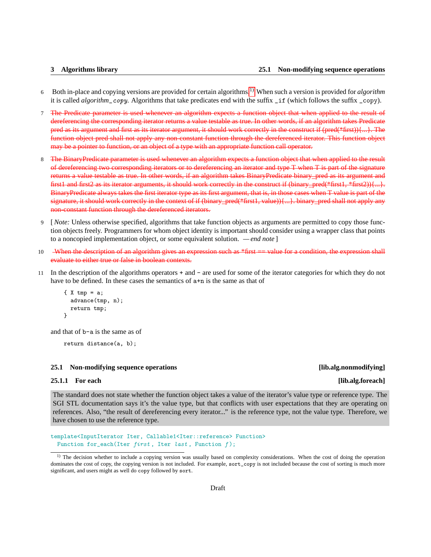- <sup>6</sup> Both in-place and copying versions are provided for certain algorithms.[1\)](#page-2-1) When such a version is provided for *algorithm* it is called *algorithm\_copy*. Algorithms that take predicates end with the suffix \_if (which follows the suffix \_copy).
- 7 The Predicate parameter is used whenever an algorithm expects a function object that when applied to the result of dereferencing the corresponding iterator returns a value testable as true. In other words, if an algorithm takes Predicate pred as its argument and first as its iterator argument, it should work correctly in the construct if (pred(\*first)){...}. The function object pred shall not apply any non-constant function through the dereferenced iterator. This function object may be a pointer to function, or an object of a type with an appropriate function call operator.
- 8 The BinaryPredicate parameter is used whenever an algorithm expects a function object that when applied to the result of dereferencing two corresponding iterators or to dereferencing an iterator and type T when T is part of the signature returns a value testable as true. In other words, if an algorithm takes BinaryPredicate binary\_pred as its argument and first1 and first2 as its iterator arguments, it should work correctly in the construct if (binary\_pred(\*first1, \*first2)){...}. BinaryPredicate always takes the first iterator type as its first argument, that is, in those cases when T value is part of the signature, it should work correctly in the context of if (binary\_pred(\*first1, value)){...}. binary\_pred shall not apply any non-constant function through the dereferenced iterators.
- 9 [*Note:* Unless otherwise specified, algorithms that take function objects as arguments are permitted to copy those function objects freely. Programmers for whom object identity is important should consider using a wrapper class that points to a noncopied implementation object, or some equivalent solution. *— end note* ]
- 10 When the description of an algorithm gives an expression such as \*first == value for a condition, the expression shall evaluate to either true or false in boolean contexts.
- 11 In the description of the algorithms operators + and are used for some of the iterator categories for which they do not have to be defined. In these cases the semantics of  $a+n$  is the same as that of

```
\{ X \text{tmp} = a;advance(tmp, n);
  return tmp;
}
```
and that of b-a is the same as of

```
return distance(a, b);
```
# <span id="page-2-0"></span>**25.1 Non-modifying sequence operations [lib.alg.nonmodifying]**

# **25.1.1 For each [lib.alg.foreach]**

The standard does not state whether the function object takes a value of the iterator's value type or reference type. The SGI STL documentation says it's the value type, but that conflicts with user expectations that they are operating on references. Also, "the result of dereferencing every iterator..." is the reference type, not the value type. Therefore, we have chosen to use the reference type.

```
template<InputIterator Iter, Callable1<Iter::reference> Function>
 Function for_each(Iter first, Iter last, Function f);
```
<span id="page-2-1"></span><sup>&</sup>lt;sup>1)</sup> The decision whether to include a copying version was usually based on complexity considerations. When the cost of doing the operation dominates the cost of copy, the copying version is not included. For example, sort\_copy is not included because the cost of sorting is much more significant, and users might as well do copy followed by sort.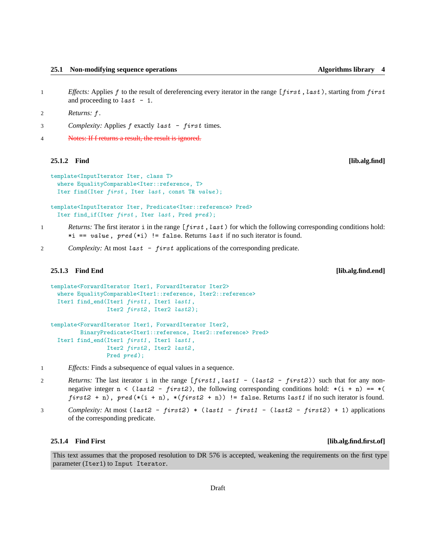- 
- 1 *Effects:* Applies f to the result of dereferencing every iterator in the range [first, last), starting from first and proceeding to  $last - 1$ .
- 2 *Returns:* f .
- 3 *Complexity:* Applies f exactly last first times.
- 4 Notes: If f returns a result, the result is ignored.

### **25.1.2 Find [lib.alg.find]**

```
template<InputIterator Iter, class T>
  where EqualityComparable<Iter::reference, T>
 Iter find(Iter first, Iter last, const T& value);
```
template<InputIterator Iter, Predicate<Iter::reference> Pred> Iter find\_if(Iter first, Iter last, Pred pred);

- 1 *Returns:* The first iterator i in the range [first, last) for which the following corresponding conditions hold: \*i == value,  $pred$  (\*i) != false. Returns last if no such iterator is found.
- 2 *Complexity:* At most last first applications of the corresponding predicate.

# **25.1.3 Find End [lib.alg.find.end]**

```
template<ForwardIterator Iter1, ForwardIterator Iter2>
  where EqualityComparable<Iter1::reference, Iter2::reference>
 Iter1 find_end(Iter1 first1 , Iter1 last1 ,
                 Iter2 first2, Iter2 last2);
template<ForwardIterator Iter1, ForwardIterator Iter2,
         BinaryPredicate<Iter1::reference, Iter2::reference> Pred>
  Iter1 find_end(Iter1 first1 , Iter1 last1 ,
                 Iter2 first2, Iter2 last2,
                 Pred pred);
```
- 1 *Effects:* Finds a subsequence of equal values in a sequence.
- 2 *Returns:* The last iterator i in the range [first1, last1 (last2 first2)) such that for any nonnegative integer  $n \leq (last2 - first2)$ , the following corresponding conditions hold:  $*(i + n) == *$ first2 + n),  $pred$  (\*(i + n), \*(first2 + n)) != false. Returns last1 if no such iterator is found.
- 3 *Complexity:* At most (last2 first2) \* (last1 first1 (last2 first2) + 1) applications of the corresponding predicate.

# **25.1.4 Find First [lib.alg.find.first.of]**

This text assumes that the proposed resolution to DR 576 is accepted, weakening the requirements on the first type parameter (Iter1) to Input Iterator.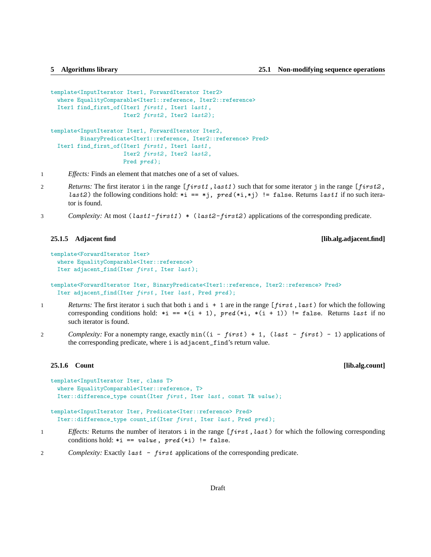```
template<InputIterator Iter1, ForwardIterator Iter2>
  where EqualityComparable<Iter1::reference, Iter2::reference>
  Iter1 find_first_of(Iter1 first1 , Iter1 last1 ,
                      Iter2 first2, Iter2 last2);
template<InputIterator Iter1, ForwardIterator Iter2,
         BinaryPredicate<Iter1::reference, Iter2::reference> Pred>
  Iter1 find_first_of(Iter1 first1 , Iter1 last1 ,
                      Iter2 first2, Iter2 last2,
                      Pred pred);
```
1 *Effects:* Finds an element that matches one of a set of values.

- 2 *Returns:* The first iterator i in the range [first1, last1) such that for some iterator j in the range [first2, *last2*) the following conditions hold: \*i == \*j, pred (\*i,\*j) != false. Returns *last1* if no such iterator is found.
- 3 *Complexity:* At most (last1-first1) \* (last2-first2) applications of the corresponding predicate.

## **25.1.5 Adjacent find [lib.alg.adjacent.find]**

```
template<ForwardIterator Iter>
  where EqualityComparable<Iter::reference>
  Iter adjacent_find(Iter first, Iter last);
```
template<ForwardIterator Iter, BinaryPredicate<Iter1::reference, Iter2::reference> Pred> Iter adjacent\_find(Iter first, Iter last, Pred pred);

- 1 *Returns:* The first iterator i such that both i and i + 1 are in the range [first, last) for which the following corresponding conditions hold:  $*$ i ==  $*(i + 1)$ ,  $pred(*i, *(i + 1))$  != false. Returns last if no such iterator is found.
- 2 *Complexity:* For a nonempty range, exactly  $min((i first) + 1, (last first) 1)$  applications of the corresponding predicate, where i is adjacent\_find's return value.

### **25.1.6 Count [lib.alg.count]**

```
template<InputIterator Iter, class T>
 where EqualityComparable<Iter::reference, T>
 Iter::difference_type count(Iter first , Iter last , const T& value );
template<InputIterator Iter, Predicate<Iter::reference> Pred>
  Iter::difference_type count_if(Iter first , Iter last , Pred pred );
```
- 1 *Effects:* Returns the number of iterators i in the range [first, last) for which the following corresponding conditions hold:  $*$ i == value, pred  $(*$ i) != false.
- 2 *Complexity:* Exactly *last first applications* of the corresponding predicate.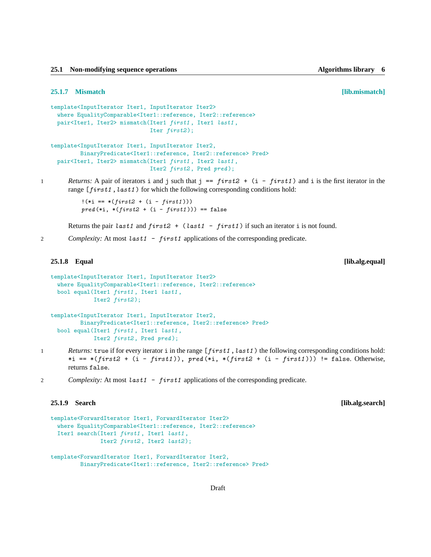**25.1 Non-modifying sequence operations Algorithms library 6**

### **25.1.7 Mismatch [lib.mismatch]**

```
template<InputIterator Iter1, InputIterator Iter2>
 where EqualityComparable<Iter1::reference, Iter2::reference>
 pair<Iter1, Iter2> mismatch(Iter1 first1, Iter1 last1,
                              Iter first2);
template<InputIterator Iter1, InputIterator Iter2,
```

```
BinaryPredicate<Iter1::reference, Iter2::reference> Pred>
pair<Iter1, Iter2> mismatch(Iter1 first1, Iter2 last1,
                           Iter2 first2, Pred pred);
```

```
1 Returns: A pair of iterators i and j such that j == first2 + (i - first1) and i is the first iterator in the
        range [first1, last1) for which the following corresponding conditions hold:
```
 $!(*i == *(first2 + (i - first1)))$  $pred (*i, *(first2 + (i - first1))) == false$ 

Returns the pair last1 and  $first2 + (last1 - first1)$  if such an iterator i is not found.

2 *Complexity:* At most *last1* - *first1* applications of the corresponding predicate.

```
25.1.8 Equal [lib.alg.equal]
```

```
template<InputIterator Iter1, InputIterator Iter2>
 where EqualityComparable<Iter1::reference, Iter2::reference>
 bool equal(Iter1 first1, Iter1 last1,
             Iter2 first2);
template<InputIterator Iter1, InputIterator Iter2,
         BinaryPredicate<Iter1::reference, Iter2::reference> Pred>
```

```
bool equal(Iter1 first1 , Iter1 last1 ,
           Iter2 first2, Pred pred);
```
- 1 *Returns:* true if for every iterator i in the range [first1, last1) the following corresponding conditions hold: \*i == \*(first2 + (i - first1)), pred (\*i, \*(first2 + (i - first1))) != false. Otherwise, returns false.
- 2 *Complexity:* At most last 1 first 1 applications of the corresponding predicate.

**25.1.9 Search [lib.alg.search]**

```
template<ForwardIterator Iter1, ForwardIterator Iter2>
 where EqualityComparable<Iter1::reference, Iter2::reference>
 Iter1 search(Iter1 first1, Iter1 last1,
              Iter2 first2, Iter2 last2);
template<ForwardIterator Iter1, ForwardIterator Iter2,
         BinaryPredicate<Iter1::reference, Iter2::reference> Pred>
```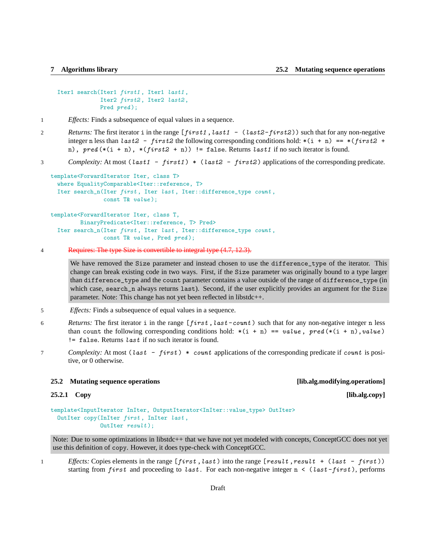```
Iter1 search(Iter1 first1, Iter1 last1,
            Iter2 first2, Iter2 last2,
            Pred pred);
```
- 1 *Effects:* Finds a subsequence of equal values in a sequence.
- 2 *Returns:* The first iterator i in the range [first1, last1 (last2-first2)) such that for any non-negative integer n less than last  $2 - first2$  the following corresponding conditions hold:  $*(i + n) == *(first2 + n)$ n),  $pred (*(i + n), *(first2 + n)) != false$ . Returns last1 if no such iterator is found.

# 3 *Complexity:* At most (last1 - first1) \* (last2 - first2) applications of the corresponding predicate.

```
template<ForwardIterator Iter, class T>
  where EqualityComparable<Iter::reference, T>
  Iter search_n(Iter first, Iter last, Iter::difference_type count,
                const T& value );
template<ForwardIterator Iter, class T,
         BinaryPredicate<Iter::reference, T> Pred>
  Iter search_n(Iter first, Iter last, Iter::difference_type count,
```

```
const T& value, Pred pred);
```

```
4 Requires: The type Size is convertible to integral type (4.7, 12.3).
```
We have removed the Size parameter and instead chosen to use the difference\_type of the iterator. This change can break existing code in two ways. First, if the Size parameter was originally bound to a type larger than difference\_type and the count parameter contains a value outside of the range of difference\_type (in which case, search\_n always returns last). Second, if the user explicitly provides an argument for the Size parameter. Note: This change has not yet been reflected in libstdc++.

- 5 *Effects:* Finds a subsequence of equal values in a sequence.
- 6 *Returns:* The first iterator i in the range [first, last -count) such that for any non-negative integer n less than count the following corresponding conditions hold:  $*(i + n) == value$ , pred  $(*(i + n), value)$  $!=$  false. Returns *last* if no such iterator is found.
- 7 *Complexity:* At most (last first) \* count applications of the corresponding predicate if count is positive, or 0 otherwise.

# <span id="page-6-0"></span>**25.2 Mutating sequence operations [lib.alg.modifying.operations]**

```
template<InputIterator InIter, OutputIterator<InIter::value_type> OutIter>
 OutIter copy(InIter first , InIter last ,
               OutIter result );
```
Note: Due to some optimizations in libstdc++ that we have not yet modeled with concepts, ConceptGCC does not yet use this definition of copy. However, it does type-check with ConceptGCC.

1 *Effects:* Copies elements in the range [first, last) into the range [result, result + (last - first)) starting from first and proceeding to last. For each non-negative integer  $n \leq (last-first)$ , performs

# **25.2.1 Copy [lib.alg.copy]**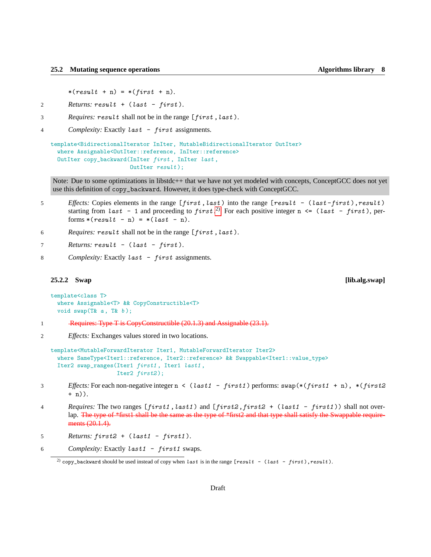$*(result + n) = *(first + n).$ 

- 2 *Returns:* result + (last first ).
- 3 *Requires:* result shall not be in the range [first ,last ).
- 4 *Complexity:* Exactly last first assignments.

```
template<BidirectionalIterator InIter, MutableBidirectionalIterator OutIter>
  where Assignable<OutIter::reference, InIter::reference>
  OutIter copy_backward(InIter first , InIter last ,
                        OutIter result);
```
Note: Due to some optimizations in libstdc++ that we have not yet modeled with concepts, ConceptGCC does not yet use this definition of copy\_backward. However, it does type-check with ConceptGCC.

- 5 *Effects:* Copies elements in the range  $[first, last)$  into the range  $[result (last-first), result)$ starting from last - 1 and proceeding to first.<sup>[2\)](#page-7-0)</sup> For each positive integer  $n \leq (last - first)$ , performs  $*(result - n) = *(last - n).$
- 6 *Requires:* result shall not be in the range [first ,last ).
- 7 **Returns: result (last first).**
- 8 *Complexity:* Exactly *last* first assignments.

# **25.2.2 Swap [lib.alg.swap]**

```
template<class T>
  where Assignable<T> && CopyConstructible<T>
 void swap(T& a, T& b);
```
- 1 Requires: Type T is CopyConstructible (20.1.3) and Assignable (23.1).
- 2 *Effects:* Exchanges values stored in two locations.

```
template<MutableForwardIterator Iter1, MutableForwardIterator Iter2>
 where SameType<Iter1::reference, Iter2::reference> && Swappable<Iter1::value_type>
  Iter2 swap_ranges(Iter1 first1 , Iter1 last1 ,
                    Iter2 first2);
```
- 3 *Effects:* For each non-negative integer n < (last1 first1 ) performs: swap(\*(first1 + n), \*(first2 + n)).
- 4 *Requires:* The two ranges [first1 ,last1 ) and [first2 ,first2 + (last1 first1 )) shall not overlap. The type of \*first1 shall be the same as the type of \*first2 and that type shall satisfy the Swappable requirements (20.1.4).

5 *Returns:* first2 + (last1 - first1 ).

6 *Complexity:* Exactly last1 - first1 swaps.

<span id="page-7-0"></span><sup>&</sup>lt;sup>2)</sup> copy\_backward should be used instead of copy when last is in the range  $[result - (last - first), result)$ .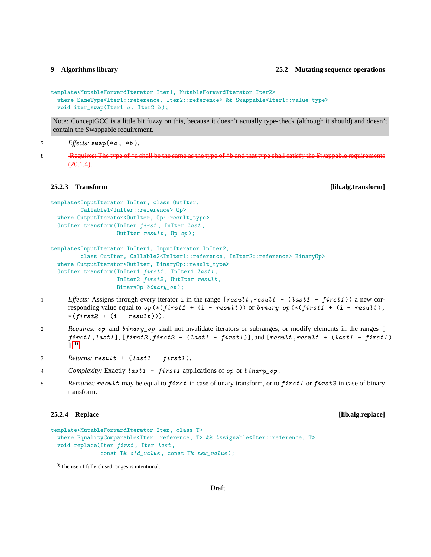```
template<MutableForwardIterator Iter1, MutableForwardIterator Iter2>
  where SameType<Iter1::reference, Iter2::reference> && Swappable<Iter1::value_type>
 void iter_swap(Iter1 a, Iter2 b);
```
Note: ConceptGCC is a little bit fuzzy on this, because it doesn't actually type-check (although it should) and doesn't contain the Swappable requirement.

7 *Effects:* swap(\*a , \*b ).

8 Requires: The type of \*a shall be the same as the type of \*b and that type shall satisfy the Swappable requirements  $(20.1.4)$ .

**25.2.3 Transform [lib.alg.transform]**

```
template<InputIterator InIter, class OutIter,
         Callable1<InIter::reference> 0p>
 where OutputIterator<OutIter, Op::result_type>
 OutIter transform(InIter first , InIter last ,
                    OutIter result , Op op );
```

```
template<InputIterator InIter1, InputIterator InIter2,
         class OutIter, Callable2<InIter1::reference, InIter2::reference> BinaryOp>
  where OutputIterator<OutIter, BinaryOp::result_type>
  OutIter transform(InIter1 first1 , InIter1 last1 ,
                    InIter2 first2 , OutIter result ,
                    BinaryOp binary_op );
```
- 1 *Effects:* Assigns through every iterator i in the range [result , result + (last1 first1)) a new corresponding value equal to  $op$  (\*(first1 + (i - result)) or binary\_op(\*(first1 + (i - result),  $*(first2 + (i - result))).$
- 2 *Requires:* op and binary\_op shall not invalidate iterators or subranges, or modify elements in the ranges [  $first1$ ,  $last1$ ],  $[first2, first2 + (last1 - first1)]$ , and  $[result, result + (last1 - first1)]$ ]. [3\)](#page-8-0)
- 3 *Returns:* result + (last1 first1 ).
- 4 *Complexity:* Exactly last1 first1 applications of op or binary\_op .
- 5 *Remarks: result* may be equal to *first* in case of unary transform, or to *first1* or *first2* in case of binary transform.

# **25.2.4 Replace [lib.alg.replace]**

```
template<MutableForwardIterator Iter, class T>
  where EqualityComparable<Iter::reference, T> && Assignable<Iter::reference, T>
 void replace(Iter first, Iter last,
              const T& old_value, const T& new_value);
```
<span id="page-8-0"></span><sup>3)</sup>The use of fully closed ranges is intentional.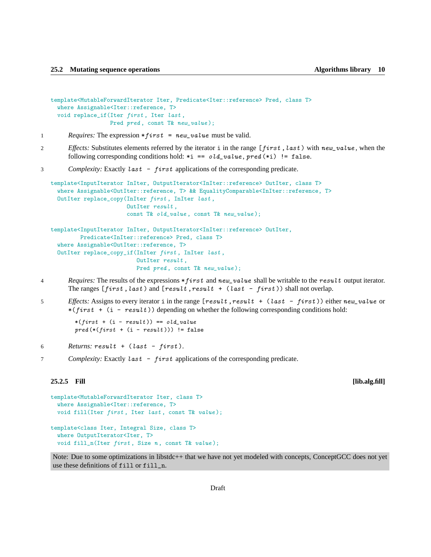```
template<MutableForwardIterator Iter, Predicate<Iter::reference> Pred, class T>
  where Assignable<Iter::reference, T>
  void replace_if(Iter first, Iter last,
                  Pred pred, const T& new_value);
```
- 1 *Requires:* The expression \* first = new\_value must be valid.
- 2 *Effects:* Substitutes elements referred by the iterator i in the range [first, last) with new\_value, when the following corresponding conditions hold:  $*$ i == old\_value, pred  $(*i)$  != false.

# 3 *Complexity:* Exactly last - first applications of the corresponding predicate.

```
template<InputIterator InIter, OutputIterator<InIter::reference> OutIter, class T>
  where Assignable<OutIter::reference, T> && EqualityComparable<InIter::reference, T>
  OutIter replace_copy(InIter first, InIter last,
                       OutIter result ,
                       const T& old_value, const T& new_value);
```

```
template<InputIterator InIter, OutputIterator<InIter::reference> OutIter,
         Predicate<InIter::reference> Pred, class T>
  where Assignable<OutIter::reference, T>
 OutIter replace_copy_if(InIter first , InIter last ,
                          OutIter result ,
                          Pred pred, const T& new_value);
```
- 4 *Requires:* The results of the expressions \*first and new\_value shall be writable to the result output iterator. The ranges  $[first, last)$  and  $[result, result + (last - first))$  shall not overlap.
- 5 *Effects:* Assigns to every iterator i in the range [result , result + (last first)) either new\_value or  $*(first + (i - result))$  depending on whether the following corresponding conditions hold:

```
*(first + (i - result)) == old_valuepred (*(first + (i - result))) != false
```

```
6 Returns: result + (last - first ).
```
7 *Complexity:* Exactly last - first applications of the corresponding predicate.

### **25.2.5 Fill [lib.alg.fill]**

```
template<MutableForwardIterator Iter, class T>
  where Assignable<Iter::reference, T>
 void fill(Iter first, Iter last, const T& value);
template<class Iter, Integral Size, class T>
  where OutputIterator<Iter, T>
 void fill_n(Iter first, Size n, const T& value);
```
Note: Due to some optimizations in libstdc++ that we have not yet modeled with concepts, ConceptGCC does not yet use these definitions of fill or fill\_n.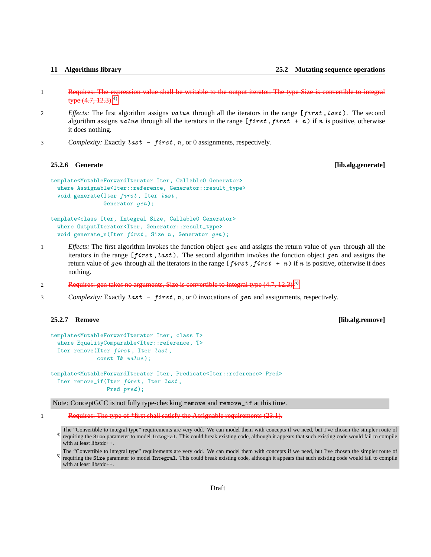| 11 |  | <b>Algorithms librar</b> |  |
|----|--|--------------------------|--|
|----|--|--------------------------|--|

- 1 Requires: The expression value shall be writable to the output iterator. The type Size is convertible to integral type  $(4.7, 12.3)$ .<sup>[4\)](#page-10-0)</sup>
- 2 *Effects:* The first algorithm assigns value through all the iterators in the range [first, last). The second algorithm assigns value through all the iterators in the range  $[first, first + n)$  if n is positive, otherwise it does nothing.
- 3 *Complexity:* Exactly *last first*, *n*, or 0 assignments, respectively.

# **25.2.6 Generate [lib.alg.generate]**

```
template<MutableForwardIterator Iter, Callable0 Generator>
  where Assignable<Iter::reference, Generator::result_type>
 void generate(Iter first, Iter last,
                Generator gen);
```
template<class Iter, Integral Size, Callable0 Generator> where OutputIterator<Iter, Generator::result\_type> void generate\_n(Iter  $first$ , Size  $n$ , Generator  $gen$ );

- 1 *Effects:* The first algorithm invokes the function object gen and assigns the return value of gen through all the iterators in the range  $[first, last)$ . The second algorithm invokes the function object gen and assigns the return value of gen through all the iterators in the range  $[first, first + n)$  if n is positive, otherwise it does nothing.
- 2 Requires: gen takes no arguments, Size is convertible to integral type (4.7, 12.3).<sup>[5\)](#page-10-1)</sup>
- 3 *Complexity:* Exactly last first, n, or 0 invocations of gen and assignments, respectively.

**25.2.7 Remove [lib.alg.remove]**

```
template<MutableForwardIterator Iter, class T>
 where EqualityComparable<Iter::reference, T>
  Iter remove(Iter first, Iter last,
             const T& value );
```
template<MutableForwardIterator Iter, Predicate<Iter::reference> Pred> Iter remove\_if(Iter first, Iter last, Pred pred);

Note: ConceptGCC is not fully type-checking remove and remove\_if at this time.

1 Requires: The type of \*first shall satisfy the Assignable requirements (23.1).

<span id="page-10-0"></span> $4)$  requiring the Size parameter to model Integral. This could break existing code, although it appears that such existing code would fail to compile The "Convertible to integral type" requirements are very odd. We can model them with concepts if we need, but I've chosen the simpler route of with at least libstdc++.

<span id="page-10-1"></span>5) The "Convertible to integral type" requirements are very odd. We can model them with concepts if we need, but I've chosen the simpler route of requiring the Size parameter to model Integral. This could break existing code, although it appears that such existing code would fail to compile with at least libstdc++.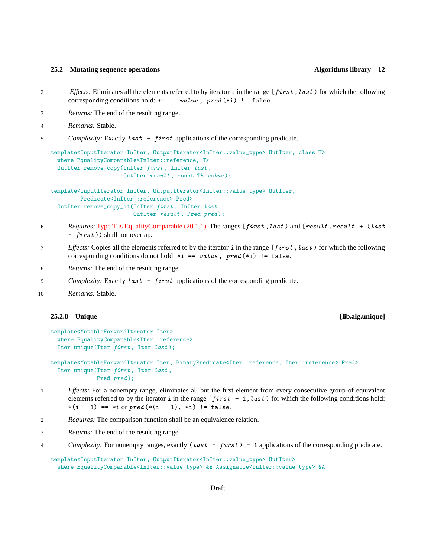- 2 *Effects:* Eliminates all the elements referred to by iterator i in the range [first, last) for which the following corresponding conditions hold:  $*$ i == value, pred  $(*$ i) != false.
- 3 *Returns:* The end of the resulting range.
- 4 *Remarks:* Stable.
- 5 *Complexity:* Exactly last first applications of the corresponding predicate.

```
template<InputIterator InIter, OutputIterator<InIter::value_type> OutIter, class T>
  where EqualityComparable<InIter::reference, T>
  OutIter remove_copy(InIter first, InIter last,
                      OutIter result , const T& value );
```

```
template<InputIterator InIter, OutputIterator<InIter::value_type> OutIter,
        Predicate<InIter::reference> Pred>
 OutIter remove_copy_if(InIter first , InIter last ,
                         OutIter result, Pred pred);
```
- 6 *Requires:* Type T is EqualityComparable (20.1.1). The ranges [first ,last ) and [result ,result + (last - first )) shall not overlap.
- 7 *Effects:* Copies all the elements referred to by the iterator i in the range [first, last) for which the following corresponding conditions do not hold:  $*$ i == value, pred  $(*$ i) != false.
- 8 *Returns:* The end of the resulting range.
- 9 *Complexity:* Exactly *last first* applications of the corresponding predicate.

```
10 Remarks: Stable.
```
# **25.2.8 Unique [lib.alg.unique]**

```
template<MutableForwardIterator Iter>
  where EqualityComparable<Iter::reference>
  Iter unique(Iter first, Iter last);
```

```
template<MutableForwardIterator Iter, BinaryPredicate<Iter::reference, Iter::reference> Pred>
  Iter unique(Iter first, Iter last,
             Pred pred);
```
- 1 *Effects:* For a nonempty range, eliminates all but the first element from every consecutive group of equivalent elements referred to by the iterator i in the range  $[first + 1, last)$  for which the following conditions hold:  $*(i - 1) == *i$  or  $pred (*(i - 1), *i) != false.$
- 2 *Requires:* The comparison function shall be an equivalence relation.
- 3 *Returns:* The end of the resulting range.
- 4 *Complexity:* For nonempty ranges, exactly (last first) 1 applications of the corresponding predicate.

```
template<InputIterator InIter, OutputIterator<InIter::value_type> OutIter>
  where EqualityComparable<InIter::value_type> && Assignable<InIter::value_type> &&
```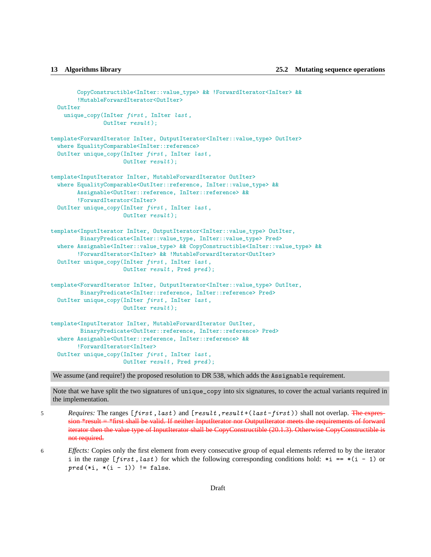```
CopyConstructible<InIter::value_type> && !ForwardIterator<InIter> &&
        !MutableForwardIterator<OutIter>
  OutIter
    unique_copy(InIter first, InIter last,
                OutIter result );
template<ForwardIterator InIter, OutputIterator<InIter::value_type> OutIter>
  where EqualityComparable<InIter::reference>
 OutIter unique_copy(InIter first, InIter last,
                      OutIter result );
template<InputIterator InIter, MutableForwardIterator OutIter>
  where EqualityComparable<OutIter::reference, InIter::value_type> &&
        Assignable<OutIter::reference, InIter::reference> &&
        !ForwardIterator<InIter>
 OutIter unique_copy(InIter first , InIter last ,
                     OutIter result);
template<InputIterator InIter, OutputIterator<InIter::value_type> OutIter,
         BinaryPredicate<InIter::value_type, InIter::value_type> Pred>
  where Assignable<InIter::value_type> && CopyConstructible<InIter::value_type> &&
        !ForwardIterator<InIter> && !MutableForwardIterator<OutIter>
  OutIter unique_copy(InIter first , InIter last ,
                      OutIter result, Pred pred);
template<ForwardIterator InIter, OutputIterator<InIter::value_type> OutIter,
         BinaryPredicate<InIter::reference, InIter::reference> Pred>
  OutIter unique_copy(InIter first , InIter last ,
                      OutIter result);
template<InputIterator InIter, MutableForwardIterator OutIter,
         BinaryPredicate<OutIter::reference, InIter::reference> Pred>
  where Assignable<OutIter::reference, InIter::reference> &&
        !ForwardIterator<InIter>
  OutIter unique_copy(InIter first , InIter last ,
                      OutIter result, Pred pred);
```
We assume (and require!) the proposed resolution to DR 538, which adds the Assignable requirement.

Note that we have split the two signatures of unique\_copy into six signatures, to cover the actual variants required in the implementation.

- 5 *Requires:* The ranges [first, last) and [result, result+(last-first)) shall not overlap. The expression  $*$ result  $= *$ first shall be valid. If neither InputIterator nor OutputIterator meets the requirements of forward iterator then the value type of InputIterator shall be CopyConstructible (20.1.3). Otherwise CopyConstructible is not required.
- 6 *Effects:* Copies only the first element from every consecutive group of equal elements referred to by the iterator i in the range  $[first, last)$  for which the following corresponding conditions hold: \*i == \*(i - 1) or  $pred (*i, *(i - 1)) != false.$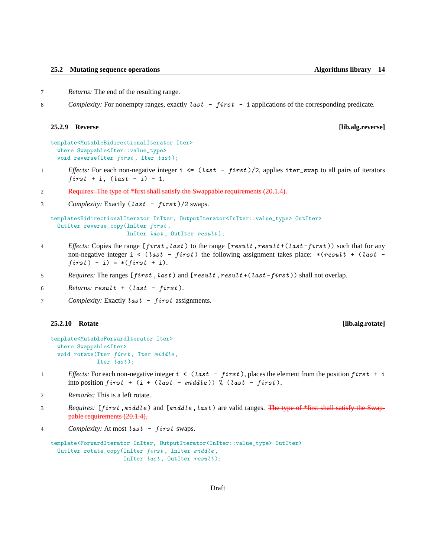7 *Returns:* The end of the resulting range.

8 *Complexity:* For nonempty ranges, exactly last - first - 1 applications of the corresponding predicate.

# **25.2.9 Reverse [lib.alg.reverse]**

```
template<MutableBidirectionalIterator Iter>
 where Swappable<Iter::value_type>
 void reverse(Iter first, Iter last);
```
- 1 *Effects:* For each non-negative integer i  $\leq$  (last first)/2, applies iter\_swap to all pairs of iterators  $first + i$ ,  $last - i) - 1$ .
- 2 Requires: The type of \*first shall satisfy the Swappable requirements (20.1.4).
- 3 *Complexity:* Exactly (*last first*)/2 swaps.

```
template<BidirectionalIterator InIter, OutputIterator<InIter::value_type> OutIter>
 OutIter reverse_copy(InIter first ,
                       InIter last, OutIter result);
```
- 4 *Effects:* Copies the range  $[first, last)$  to the range  $[result, result + (last-first))$  such that for any non-negative integer  $i \lt (last - first)$  the following assignment takes place:  $*(result + (last$  $first) - i) = *(first + i).$
- 5 *Requires:* The ranges [first, last) and [result, result+(last-first)) shall not overlap.

```
6 \n  <i>Returns: result + (last - first)</i>.
```
7 *Complexity:* Exactly last - first assignments.

### **25.2.10 Rotate [lib.alg.rotate]**

```
template<MutableForwardIterator Iter>
 where Swappable<Iter>
 void rotate(Iter first, Iter middle,
              Iter last);
```
- 1 *Effects:* For each non-negative integer  $i \leq (last first)$ , places the element from the position  $first + i$ into position  $first + (i + (last - middle))$  % (last - first).
- 2 *Remarks:* This is a left rotate.
- 3 *Requires:* [first, middle] and [middle, last] are valid ranges. The type of \*first shall satisfy the Swappable requirements (20.1.4).
- 4 *Complexity:* At most last first swaps.

```
template<ForwardIterator InIter, OutputIterator<InIter::value_type> OutIter>
  OutIter rotate_copy(InIter first , InIter middle ,
                      InIter last, OutIter result);
```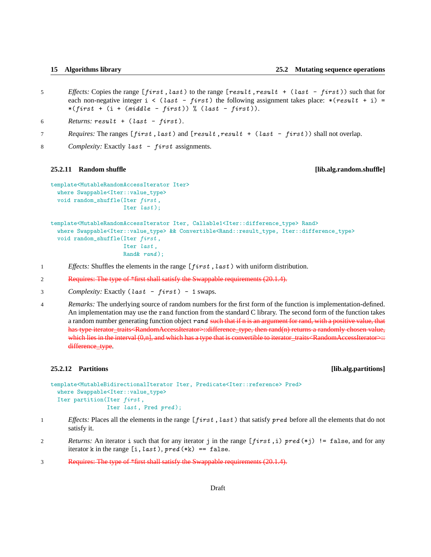- 5 *Effects:* Copies the range [first, last) to the range [result, result + (last first)) such that for each non-negative integer  $i \leq (last - first)$  the following assignment takes place: \*(result + i) =  $*(first + (i + (middle - first)) % (last - first)).$
- 6 *Returns: result*  $+$  (*last first*).
- 7 *Requires:* The ranges [first, last) and [result, result + (last first)) shall not overlap.
- 8 *Complexity:* Exactly *last first* assignments.

## **25.2.11 Random shuffle [lib.alg.random.shuffle]**

```
template<MutableRandomAccessIterator Iter>
 where Swappable<Iter::value_type>
 void random_shuffle(Iter first,
                      Iter last );
```

```
template<MutableRandomAccessIterator Iter, Callable1<Iter::difference_type> Rand>
  where Swappable<Iter::value_type> && Convertible<Rand::result_type, Iter::difference_type>
 void random_shuffle(Iter first,
                      Iter last ,
                      Rand & rand );
```
- 1 *Effects:* Shuffles the elements in the range [*first*, *last*) with uniform distribution.
- 2 Requires: The type of \*first shall satisfy the Swappable requirements (20.1.4).
- 3 *Complexity:* Exactly (last first) 1 swaps.

4 *Remarks:* The underlying source of random numbers for the first form of the function is implementation-defined. An implementation may use the rand function from the standard C library. The second form of the function takes a random number generating function object rand such that if n is an argument for rand, with a positive value, that has type iterator\_traits<RandomAccessIterator>::difference\_type, then rand(n) returns a randomly chosen value, which lies in the interval  $(0,n]$ , and which has a type that is convertible to iterator\_traits<RandomAccessIterator>:: difference\_type.

## **25.2.12 Partitions [lib.alg.partitions]**

```
template<MutableBidirectionalIterator Iter, Predicate<Iter::reference> Pred>
 where Swappable<Iter::value_type>
 Iter partition(Iter first ,
                 Iter last, Pred pred);
```
- 1 *Effects:* Places all the elements in the range [first, last) that satisfy pred before all the elements that do not satisfy it.
- 2 *Returns:* An iterator i such that for any iterator j in the range [first ,i) pred (\*j) != false, and for any iterator k in the range  $[i, last), pred(*k) == false$ .
- 3 Requires: The type of \*first shall satisfy the Swappable requirements (20.1.4).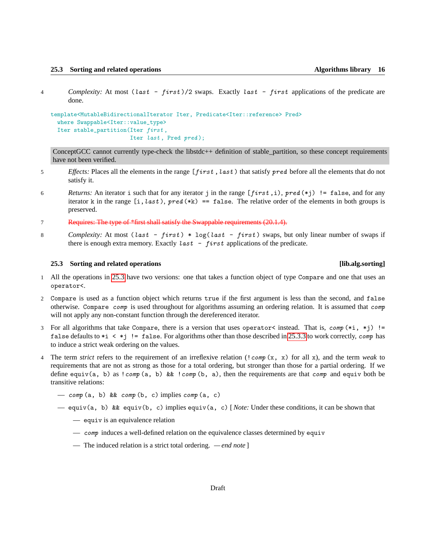- 
- 4 *Complexity:* At most (last first )/2 swaps. Exactly last first applications of the predicate are done.

```
template<MutableBidirectionalIterator Iter, Predicate<Iter::reference> Pred>
  where Swappable<Iter::value_type>
  Iter stable_partition(Iter first ,
                        Iter last, Pred pred);
```
ConceptGCC cannot currently type-check the libstdc++ definition of stable\_partition, so these concept requirements have not been verified.

- 5 *Effects:* Places all the elements in the range [*first*, *last*) that satisfy *pred* before all the elements that do not satisfy it.
- 6 *Returns:* An iterator i such that for any iterator j in the range  $[first, i)$ , pred  $(*j)$ ! = false, and for any iterator k in the range  $[i, last), pred(*k) == false$ . The relative order of the elements in both groups is preserved.
- 7 Requires: The type of \*first shall satisfy the Swappable requirements (20.1.4).
- 8 *Complexity:* At most (last first) \*  $log(last first)$  swaps, but only linear number of swaps if there is enough extra memory. Exactly  $last - first$  applications of the predicate.

# <span id="page-15-0"></span>**25.3 Sorting and related operations [lib.alg.sorting]**

- 1 All the operations in [25.3](#page-15-0) have two versions: one that takes a function object of type Compare and one that uses an operator<.
- 2 Compare is used as a function object which returns true if the first argument is less than the second, and false otherwise. Compare comp is used throughout for algorithms assuming an ordering relation. It is assumed that comp will not apply any non-constant function through the dereferenced iterator.
- 3 For all algorithms that take Compare, there is a version that uses operator< instead. That is,  $comp(*i, *j)$  != false defaults to  $*$   $\leq$   $*$   $\neq$   $\leq$  false. For algorithms other than those described in [25.3.3](#page-18-0) to work correctly, *comp* has to induce a strict weak ordering on the values.
- 4 The term *strict* refers to the requirement of an irreflexive relation (!comp (x, x) for all x), and the term *weak* to requirements that are not as strong as those for a total ordering, but stronger than those for a partial ordering. If we define equiv(a, b) as  $!comp$  (a, b) &&  $!comp$  (b, a), then the requirements are that *comp* and equiv both be transitive relations:
	- $-$  comp (a, b) && comp (b, c) implies comp (a, c)
	- equiv(a, b) && equiv(b, c) implies equiv(a, c) [*Note:* Under these conditions, it can be shown that
		- equiv is an equivalence relation
		- $\overline{\phantom{a}}$  comp induces a well-defined relation on the equivalence classes determined by equiv
		- The induced relation is a strict total ordering.  *end note* ]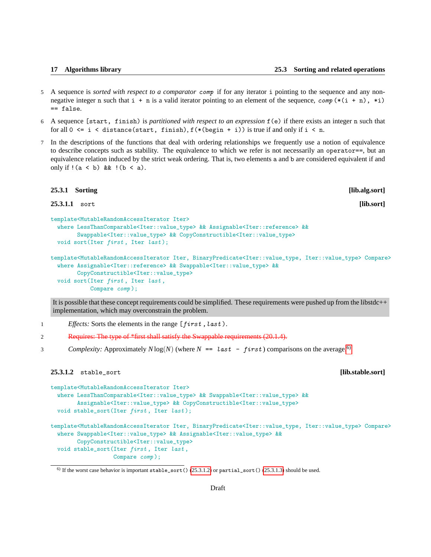- 5 A sequence is *sorted with respect to a comparator* comp if for any iterator i pointing to the sequence and any nonnegative integer n such that  $i + n$  is a valid iterator pointing to an element of the sequence,  $comp(*(i + n), *)$ == false.
- 6 A sequence [start, finish) is *partitioned with respect to an expression* f(e) if there exists an integer n such that for all  $0 \leq i \leq \text{distance}(\text{start}, \text{ finish}), f(*(\text{begin } + i))$  is true if and only if  $i \leq n$ .
- 7 In the descriptions of the functions that deal with ordering relationships we frequently use a notion of equivalence to describe concepts such as stability. The equivalence to which we refer is not necessarily an operator==, but an equivalence relation induced by the strict weak ordering. That is, two elements a and b are considered equivalent if and only if  $!(a < b)$  &  $!(b < a)$ .

# **25.3.1 Sorting [lib.alg.sort]**

**25.3.1.1** sort **[lib.sort]**

```
template<MutableRandomAccessIterator Iter>
  where LessThanComparable<Iter::value_type> && Assignable<Iter::reference> &&
        Swappable<Iter::value_type> && CopyConstructible<Iter::value_type>
 void sort(Iter first, Iter last);
```

```
template<MutableRandomAccessIterator Iter, BinaryPredicate<Iter::value_type, Iter::value_type> Compare>
  where Assignable<Iter::reference> && Swappable<Iter::value_type> &&
        CopyConstructible<Iter::value_type>
 void sort (Iter first, Iter last,
            Compare comp );
```
It is possible that these concept requirements could be simplified. These requirements were pushed up from the libstdc++ implementation, which may overconstrain the problem.

1 *Effects:* Sorts the elements in the range [first, last).

2 Requires: The type of \*first shall satisfy the Swappable requirements (20.1.4).

3 *Complexity:* Approximately  $N \log(N)$  (where  $N =$  last - first) comparisons on the average.<sup>[6\)](#page-16-0)</sup>

# <span id="page-16-1"></span>**25.3.1.2** stable\_sort **[lib.stable.sort]**

```
template<MutableRandomAccessIterator Iter>
 where LessThanComparable<Iter::value_type> && Swappable<Iter::value_type> &&
        Assignable<Iter::value_type> && CopyConstructible<Iter::value_type>
 void stable_sort(Iter first, Iter last);
template<MutableRandomAccessIterator Iter, BinaryPredicate<Iter::value_type, Iter::value_type> Compare>
  where Swappable<Iter::value_type> && Assignable<Iter::value_type> &&
        CopyConstructible<Iter::value_type>
  void stable_sort(Iter first , Iter last ,
                   Compare comp );
```
<span id="page-16-0"></span><sup>&</sup>lt;sup>6)</sup> If the worst case behavior is important stable\_sort() [\(25.3.1.2\)](#page-16-1) or partial\_sort() [\(25.3.1.3\)](#page-17-0) should be used.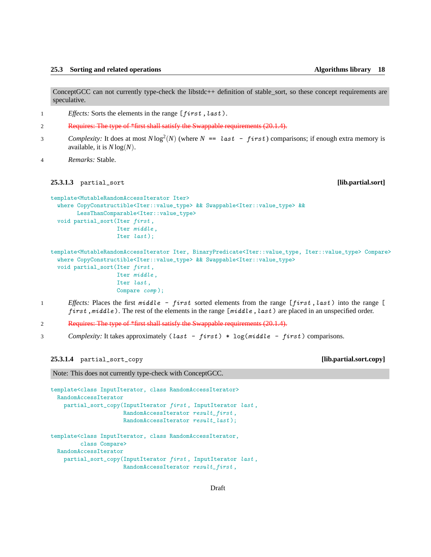ConceptGCC can not currently type-check the libstdc++ definition of stable\_sort, so these concept requirements are speculative.

1 *Effects:* Sorts the elements in the range [first, last).

- 2 Requires: The type of \*first shall satisfy the Swappable requirements (20.1.4).
- *Complexity:* It does at most  $N \log^2(N)$  (where  $N == last first$ ) comparisons; if enough extra memory is available, it is *N* log(*N*).

4 *Remarks:* Stable.

# <span id="page-17-0"></span>**25.3.1.3** partial\_sort **[lib.partial.sort]**

```
template<MutableRandomAccessIterator Iter>
  where CopyConstructible<Iter::value_type> && Swappable<Iter::value_type> &&
        LessThanComparable<Iter::value_type>
 void partial_sort(Iter first ,
                    Iter middle ,
                    Iter last);
```
template<MutableRandomAccessIterator Iter, BinaryPredicate<Iter::value\_type, Iter::value\_type> Compare> where CopyConstructible<Iter::value\_type> && Swappable<Iter::value\_type> void partial\_sort(Iter first ,

> Iter middle , Iter last , Compare comp );

- 1 *Effects:* Places the first middle first sorted elements from the range [first, last) into the range [ first,  $middle$ ). The rest of the elements in the range  $[middle, last)$  are placed in an unspecified order.
- 2 Requires: The type of \*first shall satisfy the Swappable requirements (20.1.4).
- 3 *Complexity:* It takes approximately (last first) \* log(middle first) comparisons.

**25.3.1.4** partial\_sort\_copy **[lib.partial.sort.copy]**

Note: This does not currently type-check with ConceptGCC.

template<class InputIterator, class RandomAccessIterator> RandomAccessIterator partial\_sort\_copy(InputIterator first , InputIterator last , RandomAccessIterator result\_first , RandomAccessIterator  $result\_last$  ); template<class InputIterator, class RandomAccessIterator, class Compare> RandomAccessIterator partial\_sort\_copy(InputIterator first , InputIterator last , RandomAccessIterator result\_first ,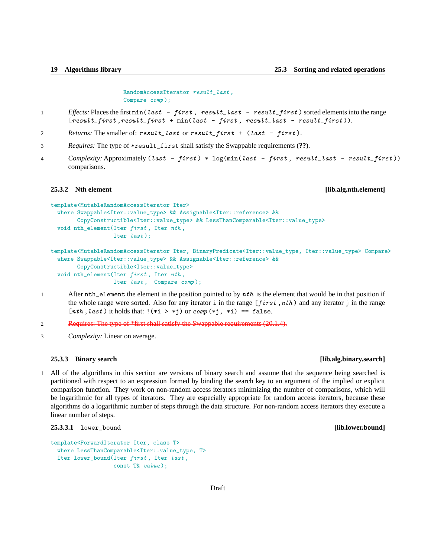RandomAccessIterator result\_last , Compare comp );

- 1 *Effects:* Places the first min(last first, result\_last result\_first) sorted elements into the range  $[result\_first, result\_first + min(last - first, result\_last - result\_first$  ).
- 2 *Returns:* The smaller of: result\_last or result\_first + (last first).
- 3 *Requires:* The type of \*result\_first shall satisfy the Swappable requirements (**??**).
- 4 *Complexity:* Approximately (last first) \*  $log(minlast first, result\_last result\_first))$ comparisons.

# **25.3.2 Nth element [lib.alg.nth.element]**

```
template<MutableRandomAccessIterator Iter>
  where Swappable<Iter::value_type> && Assignable<Iter::reference> &&
        CopyConstructible<Iter::value_type> && LessThanComparable<Iter::value_type>
  void nth_element(Iter first , Iter nth ,
                   Iter last);
```

```
template<MutableRandomAccessIterator Iter, BinaryPredicate<Iter::value_type, Iter::value_type> Compare>
  where Swappable<Iter::value_type> && Assignable<Iter::reference> &&
        CopyConstructible<Iter::value_type>
  void nth_element(Iter first , Iter nth ,
                   Iter last, Compare comp);
```
1 After nth\_element the element in the position pointed to by  $nth$  is the element that would be in that position if the whole range were sorted. Also for any iterator i in the range [first, nth) and any iterator j in the range  $[nth, last)$  it holds that:  $\frac{1}{i}$   $\Rightarrow$   $\ast$ j) or comp  $\ast$ j,  $\ast$ i) == false.

2 Requires: The type of \*first shall satisfy the Swappable requirements (20.1.4).

3 *Complexity:* Linear on average.

# <span id="page-18-0"></span>**25.3.3 Binary search [lib.alg.binary.search]**

1 All of the algorithms in this section are versions of binary search and assume that the sequence being searched is partitioned with respect to an expression formed by binding the search key to an argument of the implied or explicit comparison function. They work on non-random access iterators minimizing the number of comparisons, which will be logarithmic for all types of iterators. They are especially appropriate for random access iterators, because these algorithms do a logarithmic number of steps through the data structure. For non-random access iterators they execute a linear number of steps.

**25.3.3.1** lower\_bound **[lib.lower.bound]**

```
template<ForwardIterator Iter, class T>
 where LessThanComparable<Iter::value_type, T>
  Iter lower_bound(Iter first , Iter last ,
                   const T& value );
```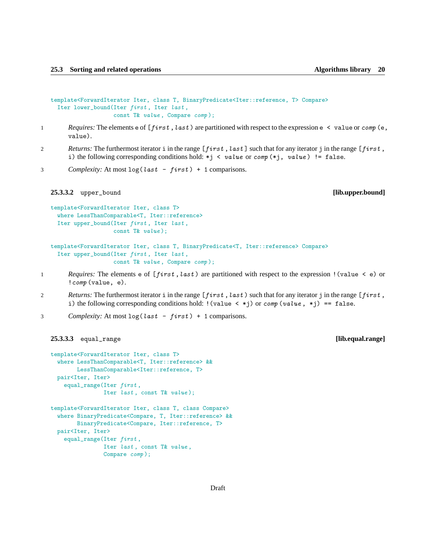```
template<ForwardIterator Iter, class T, BinaryPredicate<Iter::reference, T> Compare>
  Iter lower_bound(Iter first , Iter last ,
                   const T& value , Compare comp );
```
- 1 *Requires:* The elements e of [*first*, *last*) are partitioned with respect to the expression e < value or *comp* (e, value).
- 2 *Returns:* The furthermost iterator i in the range [first, last] such that for any iterator j in the range [first, i) the following corresponding conditions hold: \*j < value or comp (\*j, value) != false.
- 3 *Complexity:* At most  $\log(\text{last} \text{first}) + 1$  comparisons.

**25.3.3.2** upper\_bound **[lib.upper.bound]**

```
template<ForwardIterator Iter, class T>
 where LessThanComparable<T, Iter::reference>
 Iter upper_bound(Iter first , Iter last ,
                   const T& value );
```

```
template<ForwardIterator Iter, class T, BinaryPredicate<T, Iter::reference> Compare>
  Iter upper_bound(Iter first , Iter last ,
                   const T& value , Compare comp );
```
- 1 *Requires:* The elements e of [first, last) are partitioned with respect to the expression ! (value < e) or ! *comp* (value, e).
- 2 *Returns:* The furthermost iterator i in the range [first, last) such that for any iterator j in the range [first, i) the following corresponding conditions hold:  $!(value < *j)$  or  $comp(value, *j) == false$ .
- 3 *Complexity:* At most  $\log(\text{last} \text{first}) + 1$  comparisons.

```
25.3.3.3 equal_range [lib.equal.range]
```

```
template<ForwardIterator Iter, class T>
  where LessThanComparable<T, Iter::reference> &&
       LessThanComparable<Iter::reference, T>
 pair<Iter, Iter>
    equal_range(Iter first,
               Iter last, const T& value);
template<ForwardIterator Iter, class T, class Compare>
  where BinaryPredicate<Compare, T, Iter::reference> &&
       BinaryPredicate<Compare, Iter::reference, T>
 pair<Iter, Iter>
    equal_range(Iter first,
                Iter last , const T& value ,
```
Compare comp );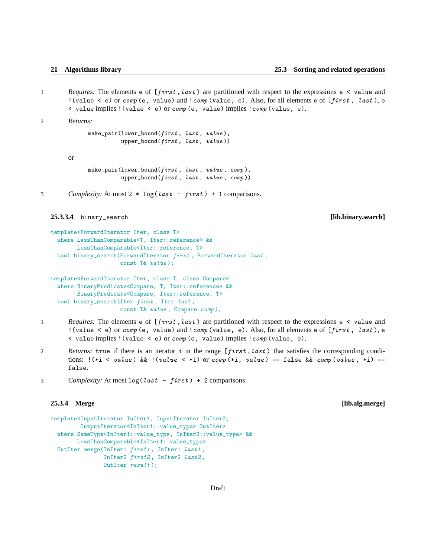1 *Requires:* The elements e of [first, last) are partitioned with respect to the expressions e < value and ! (value  $\leq$  e) or comp (e, value) and ! comp (value, e). Also, for all elements e of [first, last), e  $\langle$  value implies ! (value  $\langle$  e) or *comp* (e, value) implies ! *comp* (value, e).

2 *Returns:*

```
make_pair(lower_bound(first, last, value),
         upper_bound(first, last, value))
```
or

```
make_pair(lower_bound(first, last, value, comp),
         upper_bound(first, last, value, comp))
```
3 *Complexity:* At most 2  $*$  log(*last* - *first*) + 1 comparisons.

**25.3.3.4** binary\_search **[lib.binary.search]**

```
template<ForwardIterator Iter, class T>
  where LessThanComparable<T, Iter::reference> &&
        LessThanComparable<Iter::reference, T>
 bool binary_search(ForwardIterator first , ForwardIterator last ,
                     const T& value );
```

```
template<ForwardIterator Iter, class T, class Compare>
  where BinaryPredicate<Compare, T, Iter::reference> &&
        BinaryPredicate<Compare, Iter::reference, T>
 bool binary_search(Iter first , Iter last ,
                     const T& value , Compare comp );
```
- 1 *Requires:* The elements e of [*first*, *last*) are partitioned with respect to the expressions e < value and ! (value  $\leq$  e) or comp (e, value) and ! comp (value, e). Also, for all elements e of [first, last), e < value implies !(value < e) or comp (e, value) implies !comp (value, e).
- 2 *Returns:* true if there is an iterator i in the range [first, last) that satisfies the corresponding conditions:  $!(*i \lt value)$  &&  $!(value \lt *i)$  or comp  $(*i, value) == false$  && comp  $(value, *i) ==$ false.
- 3 *Complexity:* At most  $\log(\text{last} \text{first}) + 2$  comparisons.

### **25.3.4 Merge [lib.alg.merge]**

```
template<InputIterator InIter1, InputIterator InIter2,
         OutputIterator<InIter1::value_type> OutIter>
  where SameType<InIter1::value_type, InIter2::value_type> &&
        LessThanComparable<InIter1::value_type>
  OutIter merge(InIter1 first1 , InIter1 last1 ,
                InIter2 first2 , InIter2 last2 ,
                OutIter result );
```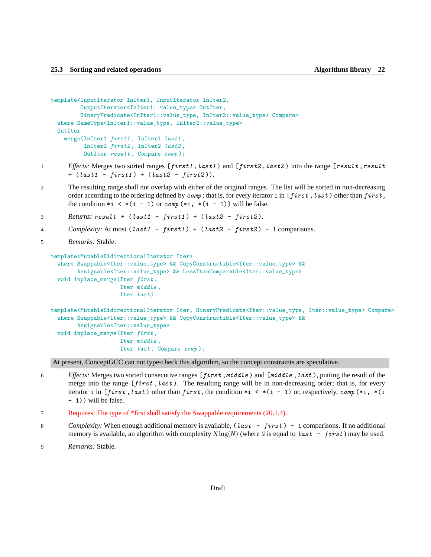```
template<InputIterator InIter1, InputIterator InIter2,
         OutputIterator<InIter1::value_type> OutIter,
         BinaryPredicate<InIter1::value_type, InIter2::value_type> Compare>
 where SameType<InIter1::value_type, InIter2::value_type>
 OutIter
   merge(InIter1 first1 , InIter1 last1 ,
          InIter2 first2 , InIter2 last2 ,
          OutIter result , Compare comp );
```
- 1 *Effects:* Merges two sorted ranges [first1, last1) and [first2, last2) into the range [result, result +  $(last1 - first1) + (last2 - first2)).$
- 2 The resulting range shall not overlap with either of the original ranges. The list will be sorted in non-decreasing order according to the ordering defined by *comp*; that is, for every iterator i in [first, last) other than first, the condition  $*$   $\times$   $*($   $-$  1) or *comp*  $(*$   $\mathbf{i}$ ,  $*($   $\mathbf{i}$  - 1) will be false.
- $3$  *Returns: result* +  $(last1 first1) + (last2 first2)$ .
- 4 *Complexity:* At most (last1 first1 ) + (last2 first2 ) 1 comparisons.
- 5 *Remarks:* Stable.

```
template<MutableBidirectionalIterator Iter>
  where Swappable<Iter::value_type> && CopyConstructible<Iter::value_type> &&
        Assignable<Iter::value_type> && LessThanComparable<Iter::value_type>
  void inplace_merge(Iter first ,
                     Iter middle ,
                     Iter last);
template<MutableBidirectionalIterator Iter, BinaryPredicate<Iter::value_type, Iter::value_type> Compare>
  where Swappable<Iter::value_type> && CopyConstructible<Iter::value_type> &&
        Assignable<Iter::value_type>
 void inplace_merge(Iter first ,
                     Iter middle ,
                     Iter last, Compare comp);
```
At present, ConceptGCC can not type-check this algorithm, so the concept constraints are speculative.

- 6 *Effects:* Merges two sorted consecutive ranges [first, middle) and [middle, last), putting the result of the merge into the range  $[first, last)$ . The resulting range will be in non-decreasing order; that is, for every iterator i in [first, last) other than first, the condition  $*_i \lt * (i - 1)$  or, respectively, comp  $(*i, * (i - 1))$ - 1)) will be false.
- 7 Requires: The type of \*first shall satisfy the Swappable requirements (20.1.4).
- 8 *Complexity:* When enough additional memory is available, (last first) 1 comparisons. If no additional memory is available, an algorithm with complexity  $N \log(N)$  (where N is equal to last  $-$  first) may be used.
- 9 *Remarks:* Stable.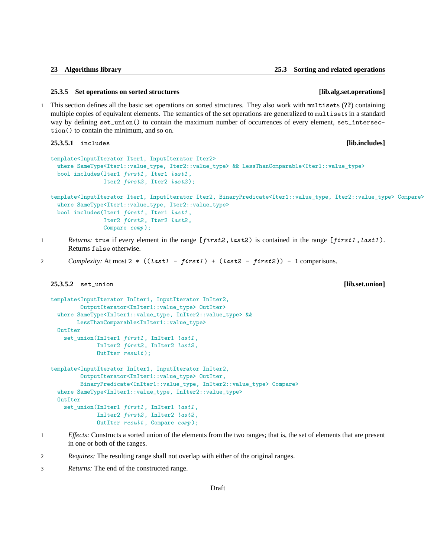### **25.3.5 Set operations on sorted structures [lib.alg.set.operations]**

1 This section defines all the basic set operations on sorted structures. They also work with multisets (**??**) containing multiple copies of equivalent elements. The semantics of the set operations are generalized to multisets in a standard way by defining set\_union() to contain the maximum number of occurrences of every element, set\_intersection() to contain the minimum, and so on.

**25.3.5.1** includes **[lib.includes]**

```
template<InputIterator Iter1, InputIterator Iter2>
  where SameType<Iter1::value_type, Iter2::value_type> && LessThanComparable<Iter1::value_type>
 bool includes(Iter1 first1 , Iter1 last1 ,
                Iter2 first2, Iter2 last2);
```
template<InputIterator Iter1, InputIterator Iter2, BinaryPredicate<Iter1::value\_type, Iter2::value\_type> Compare> where SameType<Iter1::value\_type, Iter2::value\_type> bool includes(Iter1 first1 , Iter1 last1 , Iter2 first2, Iter2 last2, Compare comp );

1 *Returns:* true if every element in the range [first2, last2) is contained in the range [first1, last1). Returns false otherwise.

```
2 Complexity: At most 2 * ((last1 - first1) + (last2 - first2)) - 1 comparisons.
```
# **25.3.5.2** set\_union **[lib.set.union]**

```
template<InputIterator InIter1, InputIterator InIter2,
         OutputIterator<InIter1::value_type> OutIter>
  where SameType<InIter1::value_type, InIter2::value_type> &&
       LessThanComparable<InIter1::value_type>
  OutIter
    set_union(InIter1 first1, InIter1 last1,
              InIter2 first2, InIter2 last2,
              OutIter result);
template<InputIterator InIter1, InputIterator InIter2,
         OutputIterator<InIter1::value_type> OutIter,
         BinaryPredicate<InIter1::value_type, InIter2::value_type> Compare>
  where SameType<InIter1::value_type, InIter2::value_type>
  OutTter
    set_union(InIter1 first1, InIter1 last1,
              InIter2 first2 , InIter2 last2 ,
              OutIter result , Compare comp );
```
- 1 *Effects:* Constructs a sorted union of the elements from the two ranges; that is, the set of elements that are present in one or both of the ranges.
- 2 *Requires:* The resulting range shall not overlap with either of the original ranges.
- 3 *Returns:* The end of the constructed range.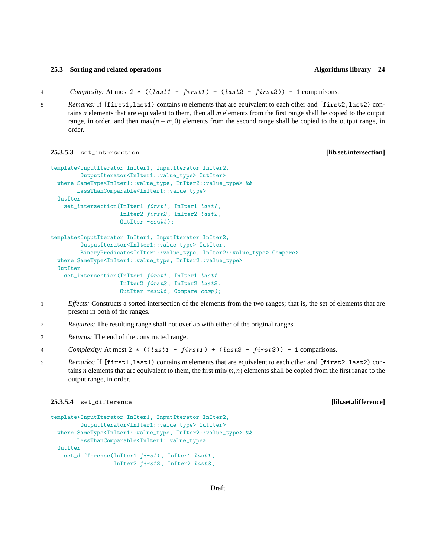4 *Complexity:* At most 2  $*($  (*last1* - *first1*) + (*last2* - *first2*)) - 1 comparisons.

5 *Remarks:* If [first1,last1) contains *m* elements that are equivalent to each other and [first2,last2) contains *n* elements that are equivalent to them, then all *m* elements from the first range shall be copied to the output range, in order, and then  $\max(n-m,0)$  elements from the second range shall be copied to the output range, in order.

# **25.3.5.3** set\_intersection **[lib.set.intersection]**

```
template<InputIterator InIter1, InputIterator InIter2,
         OutputIterator<InIter1::value_type> OutIter>
  where SameType<InIter1::value_type, InIter2::value_type> &&
       LessThanComparable<InIter1::value_type>
 OutIter
    set_intersection(InIter1 first1, InIter1 last1,
                     InIter2 first2 , InIter2 last2 ,
                     OutIter result );
template<InputIterator InIter1, InputIterator InIter2,
         OutputIterator<InIter1::value_type> OutIter,
         BinaryPredicate<InIter1::value_type, InIter2::value_type> Compare>
  where SameType<InIter1::value_type, InIter2::value_type>
 OutTter
   set_intersection(InIter1 first1, InIter1 last1,
                     InIter2 first2 , InIter2 last2 ,
                     OutIter result , Compare comp );
```
- 1 *Effects:* Constructs a sorted intersection of the elements from the two ranges; that is, the set of elements that are present in both of the ranges.
- 2 *Requires:* The resulting range shall not overlap with either of the original ranges.
- 3 *Returns:* The end of the constructed range.

```
4 Complexity: At most 2 * ((last1 - first1 ) + (last2 - first2 )) - 1 comparisons.
```
5 *Remarks:* If [first1,last1) contains *m* elements that are equivalent to each other and [first2,last2) contains *n* elements that are equivalent to them, the first  $\min(m, n)$  elements shall be copied from the first range to the output range, in order.

# **25.3.5.4** set\_difference **[lib.set.difference]**

```
template<InputIterator InIter1, InputIterator InIter2,
        OutputIterator<InIter1::value_type> OutIter>
 where SameType<InIter1::value_type, InIter2::value_type> &&
       LessThanComparable<InIter1::value_type>
 OutIter
   set_difference(InIter1 first1, InIter1 last1,
                   InIter2 first2 , InIter2 last2 ,
```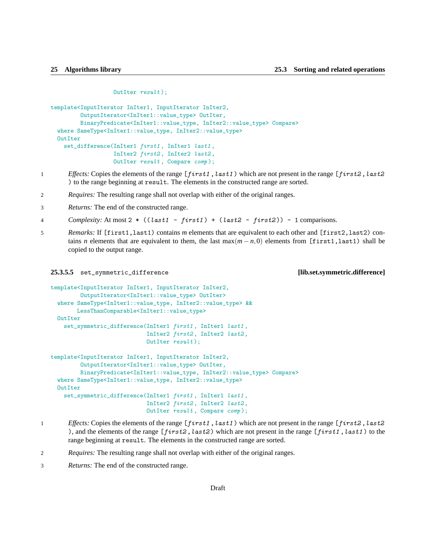### OutIter result );

```
template<InputIterator InIter1, InputIterator InIter2,
         OutputIterator<InIter1::value_type> OutIter,
         BinaryPredicate<InIter1::value_type, InIter2::value_type> Compare>
 where SameType<InIter1::value_type, InIter2::value_type>
 OutTter
   set_difference(InIter1 first1, InIter1 last1,
                   InIter2 first2 , InIter2 last2 ,
                   OutIter result , Compare comp );
```
- 1 *Effects:* Copies the elements of the range [first1, last1) which are not present in the range [first2, last2 ) to the range beginning at result. The elements in the constructed range are sorted.
- 2 *Requires:* The resulting range shall not overlap with either of the original ranges.
- 3 *Returns:* The end of the constructed range.
- 4 *Complexity:* At most 2 \* ((last1 first1 ) + (last2 first2 )) 1 comparisons.
- 5 *Remarks:* If [first1,last1) contains *m* elements that are equivalent to each other and [first2,last2) contains *n* elements that are equivalent to them, the last  $max(m - n, 0)$  elements from [first1,last1) shall be copied to the output range.

### **25.3.5.5** set\_symmetric\_difference **[lib.set.symmetric.difference]**

```
template<InputIterator InIter1, InputIterator InIter2,
         OutputIterator<InIter1::value_type> OutIter>
 where SameType<InIter1::value_type, InIter2::value_type> &&
       LessThanComparable<InIter1::value_type>
 OutIter
    set_symmetric_difference(InIter1 first1 , InIter1 last1 ,
                             InIter2 first2 , InIter2 last2 ,
                             OutIter result);
template<InputIterator InIter1, InputIterator InIter2,
         OutputIterator<InIter1::value_type> OutIter,
         BinaryPredicate<InIter1::value_type, InIter2::value_type> Compare>
  where SameType<InIter1::value_type, InIter2::value_type>
  OutIter
    set_symmetric_difference(InIter1 first1, InIter1 last1,
                             InIter2 first2 , InIter2 last2 ,
                             OutIter result , Compare comp );
```
- 1 *Effects:* Copies the elements of the range [first1, last1) which are not present in the range [first2, last2 ), and the elements of the range  $[first2, last2)$  which are not present in the range  $[first1, last1)$  to the range beginning at result. The elements in the constructed range are sorted.
- 2 *Requires:* The resulting range shall not overlap with either of the original ranges.
- 3 *Returns:* The end of the constructed range.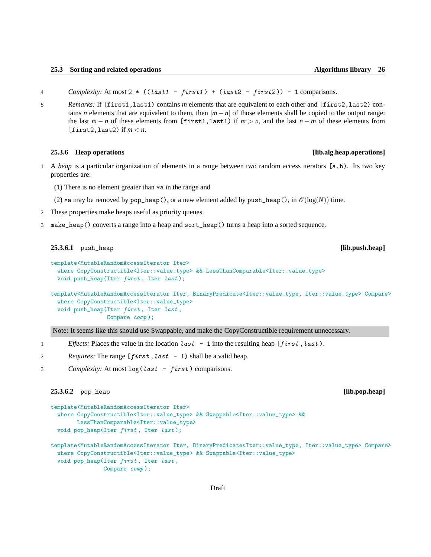- 4 *Complexity:* At most 2 \* ((last1 first1 ) + (last2 first2 )) 1 comparisons.
- 5 *Remarks:* If [first1,last1) contains *m* elements that are equivalent to each other and [first2,last2) contains *n* elements that are equivalent to them, then  $|m - n|$  of those elements shall be copied to the output range: the last  $m - n$  of these elements from [first1,last1) if  $m > n$ , and the last  $n - m$  of these elements from  $[first2, last2)$  if  $m < n$ .

### **25.3.6 Heap operations [lib.alg.heap.operations]**

- 1 A *heap* is a particular organization of elements in a range between two random access iterators [a,b). Its two key properties are:
	- (1) There is no element greater than \*a in the range and
	- (2)  $*$ a may be removed by pop\_heap(), or a new element added by push\_heap(), in  $\mathcal{O}(\log(N))$  time.
- 2 These properties make heaps useful as priority queues.
- 3 make\_heap() converts a range into a heap and sort\_heap() turns a heap into a sorted sequence.

**25.3.6.1** push\_heap **[lib.push.heap]**

```
template<MutableRandomAccessIterator Iter>
  where CopyConstructible<Iter::value_type> && LessThanComparable<Iter::value_type>
 void push_heap(Iter first, Iter last);
```

```
template<MutableRandomAccessIterator Iter, BinaryPredicate<Iter::value_type, Iter::value_type> Compare>
  where CopyConstructible<Iter::value_type>
 void push_heap(Iter first , Iter last ,
                 Compare comp );
```
Note: It seems like this should use Swappable, and make the CopyConstructible requirement unnecessary.

- 1 *Effects:* Places the value in the location  $last 1$  into the resulting heap  $[first, last)$ .
- 2 *Requires:* The range [first, last 1) shall be a valid heap.
- 3 *Complexity:* At most log(last first ) comparisons.

# **25.3.6.2** pop\_heap **[lib.pop.heap]**

```
template<MutableRandomAccessIterator Iter>
  where CopyConstructible<Iter::value_type> && Swappable<Iter::value_type> &&
       LessThanComparable<Iter::value_type>
 void pop_heap(Iter first, Iter last);
template<MutableRandomAccessIterator Iter, BinaryPredicate<Iter::value_type, Iter::value_type> Compare>
  where CopyConstructible<Iter::value_type> && Swappable<Iter::value_type>
 void pop_heap(Iter first , Iter last ,
```
Compare comp );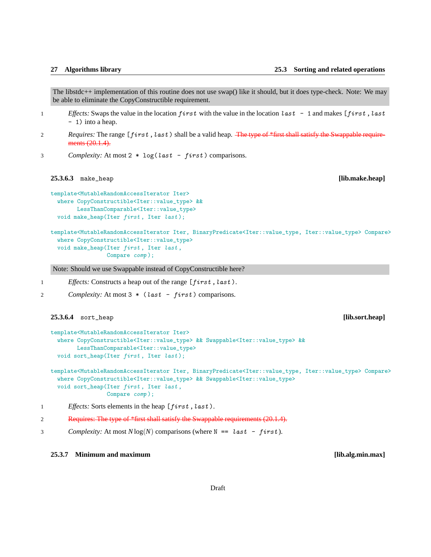The libstdc++ implementation of this routine does not use swap() like it should, but it does type-check. Note: We may be able to eliminate the CopyConstructible requirement.

- 1 *Effects:* Swaps the value in the location first with the value in the location last 1 and makes [first, last - 1) into a heap.
- 2 *Requires:* The range [first, last) shall be a valid heap. The type of \*first shall satisfy the Swappable requirements (20.1.4).
- 3 *Complexity:* At most 2 \* log(last first ) comparisons.

# **25.3.6.3** make\_heap **[lib.make.heap]**

```
template<MutableRandomAccessIterator Iter>
 where CopyConstructible<Iter::value_type> &&
       LessThanComparable<Iter::value_type>
 void make_heap(Iter first, Iter last);
```

```
template<MutableRandomAccessIterator Iter, BinaryPredicate<Iter::value_type, Iter::value_type> Compare>
  where CopyConstructible<Iter::value_type>
 void make_heap(Iter first , Iter last ,
                 Compare comp );
```
Note: Should we use Swappable instead of CopyConstructible here?

1 *Effects:* Constructs a heap out of the range [first, last).

2 *Complexity:* At most 3  $*(last - first)$  comparisons.

# **25.3.6.4** sort\_heap **[lib.sort.heap]**

```
template<MutableRandomAccessIterator Iter>
  where CopyConstructible<Iter::value_type> && Swappable<Iter::value_type> &&
       LessThanComparable<Iter::value_type>
 void sort_heap(Iter first, Iter last);
```

```
template<MutableRandomAccessIterator Iter, BinaryPredicate<Iter::value_type, Iter::value_type> Compare>
  where CopyConstructible<Iter::value_type> && Swappable<Iter::value_type>
 void sort_heap(Iter first, Iter last,
                Compare comp );
```
1 *Effects:* Sorts elements in the heap [first, last).

```
2 Requires: The type of *first shall satisfy the Swappable requirements (20.1.4).
```
3 *Complexity:* At most  $N \log(N)$  comparisons (where  $N == last - first$ ).

# **25.3.7 Minimum and maximum [lib.alg.min.max]**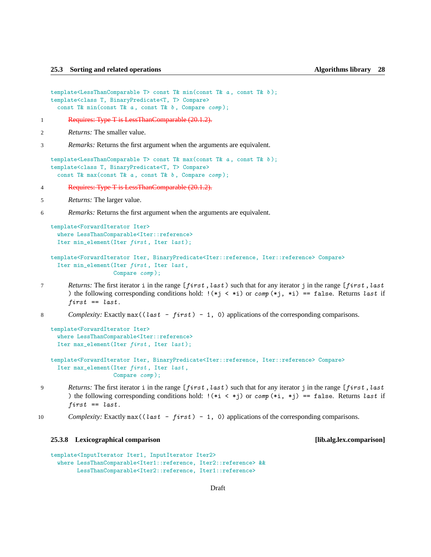```
template<LessThanComparable T> const T& min(const T& a, const T& b);
template<class T, BinaryPredicate<T, T> Compare>
  const T& min(const T& a, const T& b, Compare comp);
```
- 1 Requires: Type T is LessThanComparable (20.1.2).
- 2 *Returns:* The smaller value.

3 *Remarks:* Returns the first argument when the arguments are equivalent.

```
template<LessThanComparable T> const T& max(const T& a, const T& b);
template<class T, BinaryPredicate<T, T> Compare>
  const T& max(const T& a, const T& b, Compare comp);
```
4 Requires: Type T is LessThanComparable (20.1.2).

5 *Returns:* The larger value.

6 *Remarks:* Returns the first argument when the arguments are equivalent.

```
template<ForwardIterator Iter>
  where LessThanComparable<Iter::reference>
 Iter min_element(Iter first, Iter last);
```

```
template<ForwardIterator Iter, BinaryPredicate<Iter::reference, Iter::reference> Compare>
  Iter min_element(Iter first, Iter last,
                   Compare comp );
```
- *Returns:* The first iterator i in the range [first, last) such that for any iterator j in the range [first, last ) the following corresponding conditions hold:  $!(*j \lt *i)$  or comp  $(*j, *i)$  == false. Returns last if  $first == last$ .
- 8 *Complexity:* Exactly max ((last first) 1, 0) applications of the corresponding comparisons.

```
template<ForwardIterator Iter>
  where LessThanComparable<Iter::reference>
 Iter max_element(Iter first, Iter last);
```

```
template<ForwardIterator Iter, BinaryPredicate<Iter::reference, Iter::reference> Compare>
 Iter max_element(Iter first , Iter last ,
                   Compare comp );
```
- 9 *Returns:* The first iterator i in the range [first, last) such that for any iterator j in the range [first, last ) the following corresponding conditions hold:  $!(*i < *j)$  or comp  $(*i, *j) == false$ . Returns last if  $first == last$ .
- 10 *Complexity:* Exactly max ((last first) 1, 0) applications of the corresponding comparisons.

# **25.3.8 Lexicographical comparison [lib.alg.lex.comparison]**

```
template<InputIterator Iter1, InputIterator Iter2>
  where LessThanComparable<Iter1::reference, Iter2::reference> &&
        LessThanComparable<Iter2::reference, Iter1::reference>
```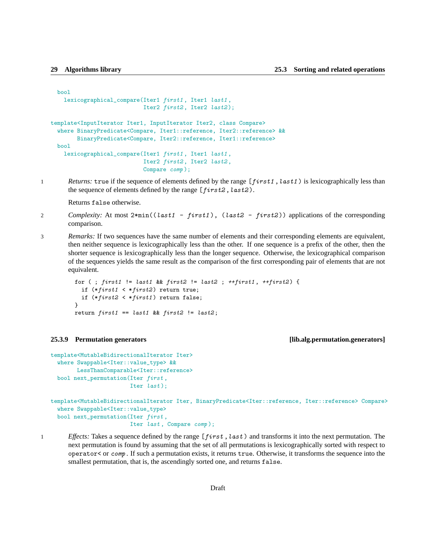```
bool
   lexicographical_compare(Iter1 first1 , Iter1 last1 ,
                            Iter2 first2, Iter2 last2);
template<InputIterator Iter1, InputIterator Iter2, class Compare>
  where BinaryPredicate<Compare, Iter1::reference, Iter2::reference> &&
        BinaryPredicate<Compare, Iter2::reference, Iter1::reference>
 bool
    lexicographical_compare(Iter1 first1 , Iter1 last1 ,
                            Iter2 first2, Iter2 last2,
                            Compare comp );
```
1 *Returns:* true if the sequence of elements defined by the range [first1, last1) is lexicographically less than the sequence of elements defined by the range  $[first2, last2]$ .

Returns false otherwise.

- 2 *Complexity:* At most  $2 * min((last1 first1))$ ,  $(last2 first2))$  applications of the corresponding comparison.
- 3 *Remarks:* If two sequences have the same number of elements and their corresponding elements are equivalent, then neither sequence is lexicographically less than the other. If one sequence is a prefix of the other, then the shorter sequence is lexicographically less than the longer sequence. Otherwise, the lexicographical comparison of the sequences yields the same result as the comparison of the first corresponding pair of elements that are not equivalent.

```
for ( ; first1 != last1 && first2 != last2 ; +first1, +first2) {
  if (*first1 < *first2) return true;
  if (*first2 < *first1) return false;
}
return first1 == last1 && first2 != last2;
```
### **25.3.9 Permutation generators [lib.alg.permutation.generators]**

```
template<MutableBidirectionalIterator Iter>
  where Swappable<Iter::value_type> &&
        LessThanComparable<Iter::reference>
 bool next_permutation(Iter first ,
                        Iter last);
```
template<MutableBidirectionalIterator Iter, BinaryPredicate<Iter::reference, Iter::reference> Compare> where Swappable<Iter::value\_type> bool next\_permutation(Iter first , Iter *last*, Compare *comp*);

1 *Effects:* Takes a sequence defined by the range  $[first, last)$  and transforms it into the next permutation. The next permutation is found by assuming that the set of all permutations is lexicographically sorted with respect to operator< or comp . If such a permutation exists, it returns true. Otherwise, it transforms the sequence into the smallest permutation, that is, the ascendingly sorted one, and returns false.